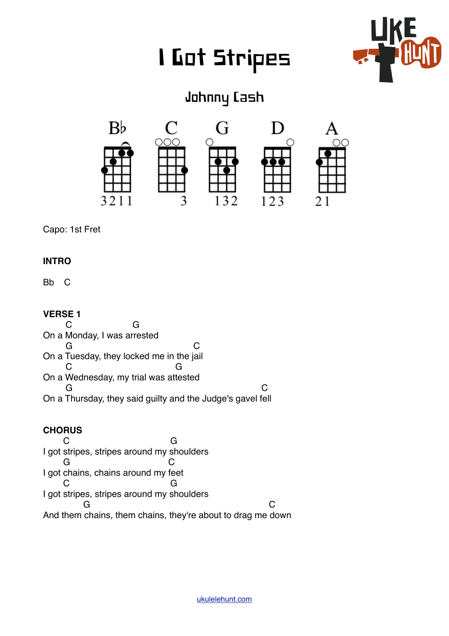# I Got Stripes



# Johnny Cash



Capo: 1st Fret

# **INTRO**

Bb C

# **VERSE 1**

 C G On a Monday, I was arrested G C On a Tuesday, they locked me in the jail C G On a Wednesday, my trial was attested G CONTROL CONTROL CONTROL CONTROL CONTROL CONTROL CONTROL CONTROL CONTROL CONTROL CONTROL CONTROL CONTROL CONTROL CONTROL CONTROL CONTROL CONTROL CONTROL CONTROL CONTROL CONTROL CONTROL CONTROL CONTROL CONTROL CONTROL CONT On a Thursday, they said guilty and the Judge's gavel fell

# **CHORUS**

 C G I got stripes, stripes around my shoulders G C I got chains, chains around my feet C G I got stripes, stripes around my shoulders **G** C And them chains, them chains, they're about to drag me down

[ukulelehunt.com](http://ukulelehunt.com)